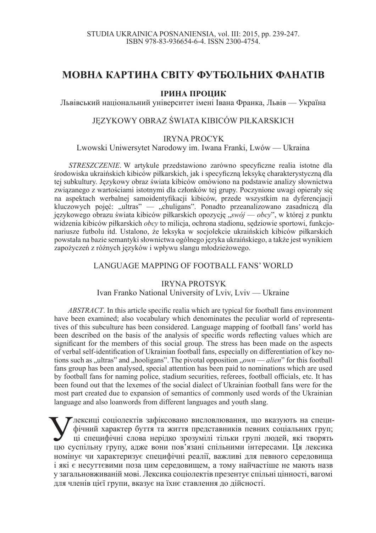# **МОВНА КАРТИНА СВІТУ ФУТБОЛЬНИХ ФАНАТІВ**

### **ІРИНА ПРОЦИК**

Львівський національний університет імені Івана Франка, Львів — Україна

## JEZYKOWY OBRAZ ŚWIATA KIBICÓW PIŁKARSKICH

#### IRYNA PROCYK

Lwowski Uniwersytet Narodowy im. Iwana Franki, Lwów — Ukraina

*STRESZCZENIE*. W artykule przedstawiono zarówno specyficzne realia istotne dla środowiska ukraińskich kibiców piłkarskich, jak i specyficzną leksykę charakterystyczną dla tej subkultury. Językowy obraz świata kibiców omówiono na podstawie analizy słownictwa związanego z wartościami istotnymi dla członków tej grupy. Poczynione uwagi opierały się na aspektach werbalnej samoidentyfikacji kibiców, przede wszystkim na dyferencjacji kluczowych pojęć: "ultras" — "chuligans". Ponadto przeanalizowano zasadniczą dla językowego obrazu świata kibiców piłkarskich opozycję "swój — obcy", w której z punktu widzenia kibiców piłkarskich *obcy* to milicja, ochrona stadionu, sędziowie sportowi, funkcjonariusze futbolu itd. Ustalono, że leksyka w socjolekcie ukraińskich kibiców piłkarskich powstała na bazie semantyki słownictwa ogólnego jezyka ukraińskiego, a także jest wynikiem zapożyczeń z różnych jezyków i wpływu slangu młodzieżowego.

#### LANGUAGE MAPPING OF FOOTBALL FANS' WORLD

#### IRYNA PROTSYK

#### Ivan Franko National University of Lviv, Lviv — Ukraine

*ABSTRACT*. In this article specific realia which are typical for football fans environment have been examined; also vocabulary which denominates the peculiar world of representatives of this subculture has been considered. Language mapping of football fans' world has been described on the basis of the analysis of specific words reflecting values which are significant for the members of this social group. The stress has been made on the aspects of verbal self-identification of Ukrainian football fans, especially on differentiation of key notions such as "ultras" and "hooligans". The pivotal opposition "*own — alien*" for this football fans group has been analysed, special attention has been paid to nominations which are used by football fans for naming police, stadium securities, referees, football officials, etc. It has been found out that the lexemes of the social dialect of Ukrainian football fans were for the most part created due to expansion of semantics of commonly used words of the Ukrainian language and also loanwords from different languages and youth slang.

Мексиці соціолектів зафіксовано висловлювання, що вказують на специ-<br>фічний характер буття та життя представників певних соціальних груп;<br>цю суспільну групу, адже вони пов'язані спільними інтересами. Ця лексика 7 лексиці соціолектів зафіксовано висловлювання, що вказують на специфічний характер буття та життя представників певних соціальних груп; ці специфічні слова нерідко зрозумілі тільки групі людей, які творять номінує чи характеризує специфічні реалії, важливі для певного середовища і які є несуттєвими поза цим середовищем, а тому найчастіше не мають назв у загальновживаній мові. Лексика соціолектів презентує спільні цінності, вагомі для членів цієї групи, вказує на їхнє ставлення до дійсності.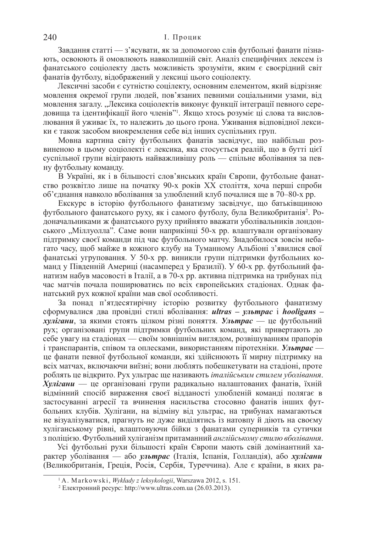Завдання статті — з'ясувати, як за допомогою слів футбольні фанати пізнають, освоюють й омовлюють навколишній світ. Аналіз специфічних лексем із фанатського соціолекту дасть можливість зрозуміти, яким є своєрідний світ фанатів футболу, відображений у лексиці цього соціолекту.

Лексичні засоби є сутністю соцілекту, основним елементом, який відрізняє мовлення окремої групи людей, пов'язаних певними соціальними узами, від мовлення загалу. "Лексика соціолектів виконує функції інтеграції певного середовища та ідентифікації його членів"<sup>1</sup>. Якщо хтось розуміє ці слова та висловлюванняй уживає їх, то належить до цього ґрона. Уживання відповідної лексики є також засобом виокремлення себе від інших суспільних груп.

Мовна картина світу футбольних фанатів засвідчує, що найбільш розвиненою в цьому соціолекті є лексика, яка стосується реалій, що в бутті цієї суспільної групи відіграють найважливішу роль — спільне вболівання за певну футбольну команду.

В Україні, як і в більшості слов'янських країн Європи, футбольне фанатство розквітло лише на початку 90-х років XX століття, хоча перші спроби об'єднання навколо вболівання за улюблений клуб почалися ще в 70–80-х рр.

Екскурс в історію футбольного фанатизму засвідчує, що батьківщиною футбольного фанатського руху, як і самого футболу, була Великобританія<sup>2</sup>. Родоначальниками ж фанатського руху прийнято вважати уболівальників лондонського "Міллуолла". Саме вони наприкінці 50-х рр. влаштували організовану підтримку своєї команди під час футбольного матчу. Знадобилося зовсім небагато часу, щоб майже в кожного клубу на Туманному Альбіоні з'явилися свої фанатські угруповання. У 50-х рр. виникли групи підтримки футбольних команд у Південній Америці (насамперед у Бразилії). У 60-х рр. футбольний фанатизм набув масовості в Італії, а в 70-х рр. активна підтримка на трибунах під час матчів почала поширюватись по всіх європейських стадіонах. Однак фанатський рух кожної країни мав свої особливості.

За понад п'ятдесятирічну історію розвитку футбольного фанатизму сформувалися два провідні стилі вболівання: *ultras – ультрас* і *hooligans – хулігани*, за якими стоять цілком різні поняття. Ультрас — це футбольний рух; організовані групи підтримки футбольних команд, які привертають до себе увагу на стадіонах — своїм зовнішнім виглядом, розвішуванням прапорів i транспарантiв, спiвом та оплесками, використанням пiротехнiки. Ультрас не фанати певної футбольної команди, які злійснюють її мирну підтримку на всіх матчах, включаючи виїзні: вони люблять побешкетувати на сталіоні, проте роблять це відкрито. Рух ультрас ще називають *італійським стилем уболівання*.  $X$ *vлігани* — це організовані групи радикально налаштованих фанатів, їхній відмінний спосіб вираження своєї відданості улюбленій команді полягає в застосуванні агресії та вчинення насильства стосовно фанатів інших футбольних клубів. Хулігани, на відміну від ультрас, на трибунах намагаються не візуалізуватися, прагнуть не дуже виділятись із натовпу й діють на своєму хуліганському рівні, влаштовуючи бійки з фанатами суперників та сутички з поліцією. Футбольний хуліганізм притаманний англійському стилю вболівання.

Усі футбольні рухи більшості країн Європи мають свій домінантний характер уболівання — або ультрас (Італія, Іспанія, Голландія), або хулігани (Великобританія, Греція, Росія, Сербія, Туреччина). Але є країни, в яких ра-

<sup>1</sup> A. Markowski, *Wykáady z leksykologii*, Warszawa 2012, s. 151.

<sup>&</sup>lt;sup>2</sup> Електронний ресурс: http://www.ultras.com.ua (26.03.2013).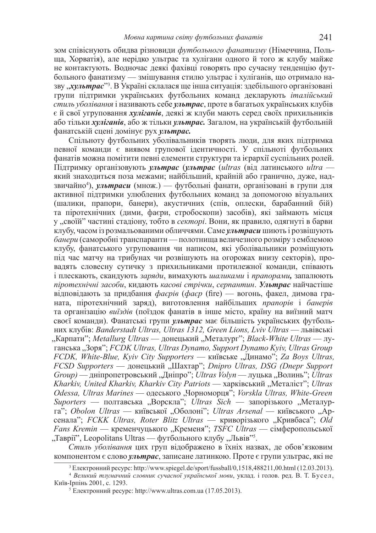зом співіснують обидва різновиди футбольного фанатизму (Німеччина, Польща, Хорватія), але нерідко ультрас та хулігани одного й того ж клубу майже не контактують. Водночас деякі фахівці говорять про сучасну тенденцію футбольного фанатизму — змішування стилю ультрас і хуліганів, що отримало назву *"хультрас*"<sup>3</sup>. В Україні склалася ще інша ситуація: здебільшого організовані групи підтримки українських футбольних команд декларують *італійський стиль уболівання* і називають себе ультрас, проте в багатьох українських клубів  $\epsilon$ й свої угруповання *хуліганів*, деякі ж клуби мають серед своїх прихильників або тільки *хуліганів*, або ж тільки ультрас. Загалом, на українській футбольній  $\theta$ анатській сцені домінує рух *ультрас*.

Спільноту футбольних уболівальників творять люди, для яких підтримка певної команди є виявом групової ідентичності. У спільноті футбольних фанатів можна помітити певні елементи структури та ієрархії суспільних ролей.  $\Pi$ ідтримку організовують ультрас (ультрас (ultras (від латинського ultra який знаходиться поза межами; найбільший, крайній або гранично, дуже, надзвичайно<sup>4</sup>), *ультраси* (множ.) — футбольні фанати, організовані в групи для активної підтримки улюблених футбольних команд за допомогою візуальних (шалики, прапори, банери), акустичних (спів, оплески, барабанний бій) та піротехнічних (дими, фаєри, стробоскопи) засобів), які займають місця у "своїй" частині стадіону, тобто в *секторі*. Вони, як правило, одягнуті в барви клубу, часом із розмальованими обличчями. Саме *ультраси* шиють і розвішують банери (саморобні транспаранти — полотнища величезного розміру з емблемою клубу, фанатського угруповання чи написом, які уболівальники розміщують під час матчу на трибунах чи розвішують на огорожах внизу секторів), провадять словесну сутичку з прихильниками протилежної команди, співають і плескають, скандують заряди, вимахують шаликами *і прапорами*, запалюють *піротехнічні засоби*, кидають касові стрічки, серпантин. Ультрас найчастіше відповідають за придбання фаєрів (фаєр (fire) — вогонь, факел, димова граната, піротехнічний заряд), виготовлення найбільших *прапорів* і банерів та організацію *виїздів* (поїздок фанатів в інше місто, країну на виїзний матч своєї команди). Фанатські групи *ультрас* має більшість українських футболь-HHX ΚΠΥΘΙΒ: *Banderstadt Ultras, Ultras 1312, Green Lions, Lviv Ultras* — ΠΔΒΙΒΣΕΛΚΙ "Карпати"; *Metallurg Ultras* — донецький "Металург"; *Black-White Ultras* — луrанська "Зоря"; *FCDK Ultras, Ultras Dynamo, Support Dynamo Kyiv, Ultras Group FCDK, White-Blue, Kyiv City Supporters* — київське "Динамо"; *Za Boys Ultras, FCSD Supporters* — донецький "Шахтар"; *Dnipro Ultras, DSG (Dnepr Support*) *Group*) — дніпропетровський "Дніпро"; *Ultras Volyn* — луцька "Волинь"; *Ultras Kharkiv, United Kharkiv, Kharkiv City Patriots* — харківський "Металіст"; *Ultras Odessa, Ultras Marines* — одеського "Чорноморця"; *Vorskla Ultras, White-Green* Suporters — полтавська "Ворскла"; *Ultras Sich* — запорізького "Металурга<sup>3</sup>; *Obolon Ultras* — київської "Оболоні"; *Ultras Arsenal* — київського "Арсенала»; *FCKK Ultras, Roter Blitz Ultras* — криворізького "Кривбаса»; *Old Fans Kremin* — кременчуцького "Кременя"; *TSFC Ultras* — сімферопольської "Таврії", Leopolitans Ultras — футбольного клубу "Львів"<sup>5</sup>.

Стиль уболівання цих груп відображено в їхніх назвах, де обов'язковим компонентом є слово ультрас, записане латинкою. Проте є групи ультрас, які не

 $3$  Eлектронний ресурс: http://www.spiegel.de/sport/fussball/0,1518,488211,00.html (12.03.2013).

<sup>&</sup>lt;sup>4</sup> Великий тлумачний словник сучасної української мови, уклад. і голов. ред. В. Т. Бусел, Київ-Ірпінь 2001, с. 1293.

 $5$  Електронний ресурс: http://www.ultras.com.ua (17.05.2013).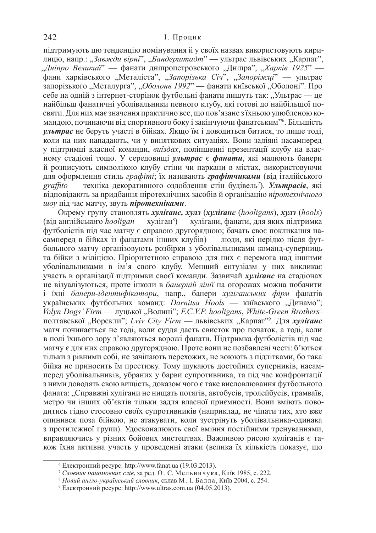підтримують цю тенденцію номінування й у своїх назвах використовують кирилицю, напр.: "Завжди вірні", "Бандерштадт" — ультрас львівських "Карпат", "Дніпро Великий" — фанати дніпропетровського "Дніпра", "Харків 1925" уити харківського "Металіста", "Запорізька Січ<sup>і»</sup>, "Запоріжці<sup>"</sup> — ультрас запорізького "Металурга", "Оболонь 1992" — фанати київської "Оболоні". Про себе на одній з інтернет-сторінок футбольні фанати пишуть так: "Ультрас — це найбільш фанатичні уболівальники певного клубу, які готові до найбільшої посвяти. Для них має значення практично все, що пов'язане з їхньою улюбленою командою, починаючи від спортивного боку і закінчуючи фанатським" б. Більшість *ультрас* не беруть участі в бійках. Якщо їм і доводиться битися, то лише тоді, коли на них нападають, чи у виняткових ситуаціях. Вони задіяні насамперед у підтримці власної команди, *виїздах*, поліпшенні презентації клубу на власному стадіоні тощо. У середовищі ультрас є фанати, які малюють банери й розписують символікою клубу стіни чи паркани в містах, використовуючи для оформлення стиль *графіті*; їх називають **графітчиками** (від італійського graffito — техніка декоративного оздоблення стін будівель<sup>7</sup>). Ул**ьтрасів**, які відповідають за придбання піротехнічних засобів й організацію піротехнічного иоу під час матчу, звуть *піротехніками*.

Oкрему групу становлять *хулітанс*, *хулз* (*xynitanc* (*hooligans*), *хулз* (*hools*) (від англійського *hooligan* — хуліган<sup>8</sup>) — хулігани, фанати, для яких підтримка футболістів під час матчу є справою другорядною; бачать своє покликання насамперед в бійках із фанатами інших клубів) — люди, які нерідко після футбольного матчу організовують розбірки з уболівальниками команд-суперниць та бійки з міліцією. Пріоритетною справою для них є перемога над іншими уболівальниками в ім'я свого клубу. Менший ентузіазм у них викликає участь в організації підтримки своєї команди. Зазвичай *хулітанс* на стадіонах не візуалізуються, проте інколи в *банерній лінії* на огорожах можна побачити i їхні банери-*ідентифікатори*, напр., банери хуліганських фірм фанатів vкраїнських футбольних команд: *Darnitsa Hools* — київського "Линамо"; Volyn Dogs' Firm — луцької "Волині"; *F.C.V.P. hooligans*, *White-Green Brothers*– полтавської "Ворскли"; Lviv City Firm — львівських "Карпат<sup>79</sup>. Для хуліґанс матч починається не тоді, коли суддя дасть свисток про початок, а тоді, коли в полі їхнього зору з'являються ворожі фанати. Підтримка футболістів під час матчу є для них справою другорядною. Проте вони не позбавлені честі: б'ються тільки з рівними собі, не зачіпають перехожих, не воюють з підлітками, бо така бійка не приносить їм престижу. Тому шукають достойних суперників, насамперед уболівальників, убраних у барви супротивника, та під час конфронтації з ними доводять свою вищість, доказом чого є таке висловлювання футбольного фаната: "Справжні хулігани не нищать потягів, автобусів, тролейбусів, трамваїв, метро чи інших об'єктів тільки задля власної приємності. Вони вміють поводитись гідно стосовно своїх супротивників (наприклад, не чіпати тих, хто вже опинився поза бійкою, не атакувати, коли зустрінуть уболівальника-одинака з протилежної групи). Удосконалюють свої вміння постійними тренуваннями, вправляючись у різних бойових мистецтвах. Важливою рисою хуліганів є також їхня активна участь у проведенні атаки (велика їх кількість показує, що

 $6$  Електронний ресурс: http://www.fanat.ua (19.03.2013).

<sup>&</sup>lt;sup>7</sup> Словник іншомовних слів, за ред. О. С. Мельничука, Київ 1985, с. 222.

<sup>&</sup>lt;sup>8</sup> Новий англо-український словник, склав М. І. Балла, Київ 2004, с. 254.

<sup>&</sup>lt;sup>9</sup> Електронний ресурс: http://www.ultras.com.ua (04.05.2013).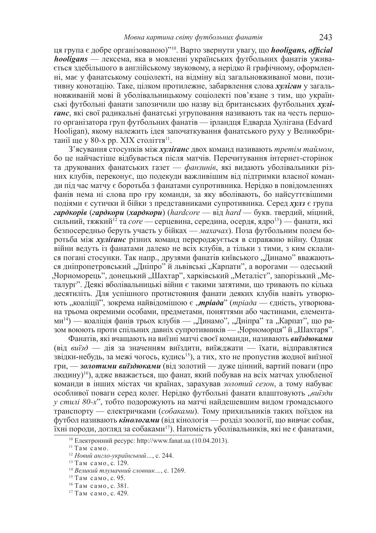ця група є добре організованою)''<sup>10</sup>. Варто звернути увагу, що *hooligans, official hooligans* — лексема, яка в мовленні українських футбольних фанатів уживається здебільшого в англійському звуковому, а нерідко й графічному, оформленні, має у фанатському соціолекті, на відміну від загальновживаної мови, позитивну конотацію. Таке, цілком протилежне, забарвлення слова *хуліган* у загальновживаній мові й уболівальницькому соціолекті пов'язане з тим, що українські футбольні фанати запозичили цю назву від британських футбольних хулі**taнс**, які свої радикальні фанатські угруповання називають так на честь першого організатора груп футбольних фанатів — ірландця Едварда Хулігана (Edvard Hooligan), якому належить ідея започаткування фанатського руху у Великобританії ще у 80-х рр. XIX століття<sup>11</sup>.

З'ясування стосунків між *хуліґанс* двох команд називають *третім таймом*, бо це найчастіше відбувається після матчів. Перечитування інтернет-сторінок та друкованих фанатських газет — *фанзинів*, які видають уболівальники різних клубів, переконує, що подекуди важливішим від підтримки власної команди під час матчу є боротьба з фанатами супротивника. Нерідко в повідомленнях фанів нема ні слова про гру команди, за яку вболівають, бо найсуттєвішими подіями є сутички й бійки з представниками супротивника. Серед *хулз* є група *гардкорів (гардкори (хардкори) (hardcore — від hard — букв. твердий, міцний,* сильний, тяжкий<sup>12</sup> та *core* — серцевина, середина, осердя, ядро<sup>13</sup>) — фанати, які безпосередньо беруть участь у бійках — *махачах*). Поза футбольним полем боротьба між *хуліганс* різних команд перероджується в справжню війну. Однак війни ведуть із фанатами далеко не всіх клубів, а тільки з тими, з ким склалися погані стосунки. Так напр., друзями фанатів київського "Динамо" вважаються дніпропетровський "Дніпро" й львівські "Карпати", а ворогами — одеський дорноморець", донецький "Шахтар", харківський "Металіст", запорізький "Металург". Деякі вболівальницькі війни є такими затятими, що тривають по кілька десятиліть. Для успішного протистояння фанати деяких клубів навіть утворюють "коаліції", зокрема найвідомішою є "*тріада" (тріада* — єдність, утворювана трьома окремими особами, предметами, поняттями або частинами, елемента- $MM<sup>14</sup>$  — коаліція фанів трьох клубів — "Динамо", "Дніпра" та "Карпат", що разом воюють проти спільних давніх супротивників — "Чорноморця" й "Шахтаря".

Фанатів, які вчащають на виїзні матчі своєї команди, називають виїздюками (від виїзд - дія за значенням виїздити, виїжджати - їхати, відправлятися звілки-небуль, за межі чогось, кулись<sup>15</sup>), а тих, хто не пропустив жолної виїзної гри, — *золотими виїздюками* (від золотий — дуже цінний, вартий поваги (про людину)<sup>16</sup>), адже вважається, що фанат, який побував на всіх матчах улюбленої команди в інших містах чи країнах, зарахував золотий сезон, а тому набуває особливої поваги серед колег. Нерідко футбольні фанати влаштовують "виїзди *у стилі 80-х*", тобто подорожують на матчі найдешевшим видом громадського транспорту — електричками (*собаками*). Тому прихильників таких поїздок на футбол називають *кінологами* (від кінологія — розділ зоології, що вивчає собак, їхні породи, догляд за собаками<sup>17</sup>). Натомість уболівальників, які не є фанатами,

<sup>&</sup>lt;sup>10</sup> Електронний ресурс: http://www.fanat.ua (10.04.2013).

<sup>&</sup>lt;sup>11</sup> Там само.

<sup>&</sup>lt;sup>12</sup> Новий англо-український..., с. 244.

<sup>&</sup>lt;sup>13</sup> Там само, с. 129.

<sup>&</sup>lt;sup>14</sup> Великий тлумачний словник..., с. 1269.

 $15$  Tam camo, c. 95.

<sup>&</sup>lt;sup>16</sup> Там само, с. 381.

<sup>&</sup>lt;sup>17</sup> Там само, с. 429.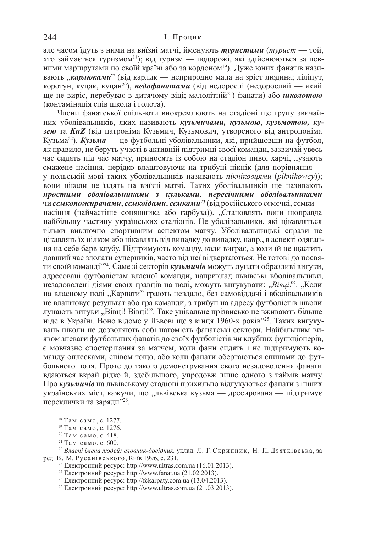але часом їдуть з ними на виїзні матчі, йменують *туристами* (*турист* — той, хто займається туризмом<sup>18</sup>); від туризм — подорожі, які здійснюються за певними маршрутами по своїй країні або за кордоном<sup>19</sup>). Дуже юних фанатів називають "карлюками" (від карлик — неприродно мала на зріст людина; ліліпут, коротун, куцак, куцан<sup>20</sup>), **недофанатами** (від недорослі (недорослий — який ще не виріс, перебуває в дитячому віці; малолітній<sup>21</sup>) фанати) або *школотою* (контамінація слів школа і голота).

Члени фанатської спільноти виокремлюють на стадіоні ще групу звичайних уболівальників, яких називають *кузьмичами, кузьмою, кузьмотою, ку***зею та KuZ** (від патроніма Кузьмич, Кузьмович, утвореного від антропоніма Кузьма<sup>22</sup>). Кузьма — це футбольні уболівальники, які, прийшовши на футбол, як правило, не беруть участі в активній підтримці своєї команди, зазвичай увесь час сидять під час матчу, приносять із собою на стадіон пиво, харчі, лузають смажене насіння, нерідко влаштовуючи на трибуні пікнік (для порівняння у польській мові таких уболівальників називають пікніковцями (piknikowcy)); вони ніколи не їздять на виїзні матчі. Таких уболівальників ще називають простими вболівальниками з кульками, пересічними вболівальниками чи семкопожирачами, семкоїдами, семками<sup>23</sup> (від російського семечкі, семки насіння (найчастіше соняшника або гарбуза)). "Становлять вони щоправда найбільшу частину українських стадіонів. Це уболівальники, які цікавляться тільки виключно спортивним аспектом матчу. Уболівальницькі справи не цікавлять їх цілком або цікавлять від випадку до випадку, напр., в аспекті одягання на себе барв клубу. Підтримують команду, коли виграє, а коли їй не щастить довший час здолати суперників, часто від неї відвертаються. Не готові до посвяти своїй команді<sup>224</sup>. Саме зі секторів *кузьмичів* **можуть лунати образливі вигуки**, адресовані футболістам власної команди, наприклад львівські вболівальники, незадоволені діями своїх гравців на полі, можуть вигукувати: "Вівці!". "Коли на власному полі "Карпати" грають невдало, без самовіддачі і вболівальників не влаштовує результат або гра команди, з трибун на адресу футболістів інколи лунають вигуки "Вівці! Вівці!". Таке унікальне прізвисько не вживають більше ніде в Україні. Воно відоме у Львові ще з кінця 1960-х років<sup>725</sup>. Таких вигукувань ніколи не дозволяють собі натомість фанатські сектори. Найбільшим виявом зневаги футбольних фанатів до своїх футболістів чи клубних функціонерів, € мовчазне спостерігання за матчем, коли фани сидять і не підтримують команду оплесками, співом тошо, або коли фанати обертаються спинами до футбольного поля. Проте до такого демонстрування свого незадоволення фанати вдаються вкрай рідко й, здебільшого, упродовж лише одного з таймів матчу. Про кузьмичів на львівському стадіоні прихильно відгукуються фанати з інших українських міст, кажучи, що "львівська кузьма — дресирована — підтримує переклички та заряди"26.

 $18$  Tam camo, c. 1277.

 $19$  Tam camo, c. 1276.

<sup>&</sup>lt;sup>20</sup> Там само, с. 418.

 $21$  Там само, с. 600.

<sup>&</sup>lt;sup>22</sup> Власні імена людей: словник-довідник, уклад. Л. Г. Скрипник, Н. П. Дзятківська, за ред. В. М. Русанівського, Київ 1996, с. 231.

<sup>&</sup>lt;sup>23</sup> Електронний ресурс: http://www.ultras.com.ua (16.01.2013).

<sup>&</sup>lt;sup>24</sup> Електронний ресурс: http://www.fanat.ua (21.02.2013).

<sup>&</sup>lt;sup>25</sup> Електронний ресурс: http://fckarpaty.com.ua (13.04.2013).

<sup>&</sup>lt;sup>26</sup> Електронний ресурс: http://www.ultras.com.ua (21.03.2013).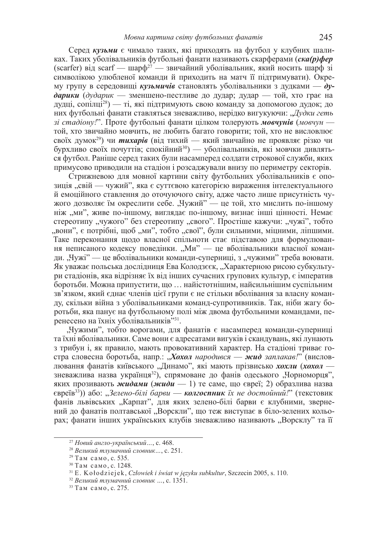Серед *кузьми* є чимало таких, які приходять на футбол у клубних шаликах. Таких уболівальників футбольні фанати називають скарферами (*ска(р)фер* (scarfer) від scarf — шарф<sup>27</sup> — звичайний уболівальник, який носить шарф зі символікою улюбленої команди й приходить на матч її підтримувати). Окрему групу в середовищі кузьмичів становлять уболівальники з дудками — ду- $\partial$ арики ( $\partial$ *vдарик* — зменшено-пестливе до дудар; дудар — той, хто грає на дудці, сопілці<sup>28</sup>) — ті, які підтримують свою команду за допомогою дудок; до них футбольні фанати ставляться зневажливо, нерідко вигукуючи: "Дудки геть з*і стадіону!*". Проте футбольні фанати цілком толерують мовчунів (мовчун той, хто звичайно мовчить, не любить багато говорити; той, хто не висловлює своїх думок<sup>29</sup>) чи **тихарів** (від тихий — який звичайно не проявляє різко чи бурхливо своїх почуттів; спокійний<sup>30</sup>) — уболівальників, які мовчки дивляться футбол. Раніше серед таких були насамперед солдати строкової служби, яких примусово приводили на стадіон і розсаджували внизу по периметру секторів.

Стрижневою для мовної картини світу футбольних уболівальників є опозиція "свій — чужий", яка є суттєвою категорією вираження інтелектуального й емоційного ставлення до оточуючого світу, адже часто лише присутність чужого дозволяє їм окреслити себе. "Чужий" — це той, хто мислить по-іншому ніж "ми", живе по-іншому, виглядає по-іншому, визнає інші цінності. Немає стереотипу "чужого" без стереотипу "свого". Простіше кажучи: "чужі", тобто , вони", є потрібні, щоб "ми", тобто "свої", були сильними, міцними, ліпшими. Таке переконання щодо власної спільноти стає підставою для формулювання неписаного кодексу поведінки. "Ми" — це вболівальники власної команди. "Чужі" — це вболівальники команди-суперниці, з "чужими" треба воювати. Як уважає польська дослідниця Ева Колодзєєк, "Характерною рисою субкультури стадіонів, яка відрізняє їх від інших сучасних групових культур, є імператив боротьби. Можна припустити, що ... найістотнішим, найсильнішим суспільним зв'язком, який єднає членів цієї групи є не стільки вболівання за власну команду, скільки війна з уболівальниками команд-супротивників. Так, ніби жагу боротьби, яка панує на футбольному полі між двома футбольними командами, перенесено на їхніх уболівальників"<sup>31</sup>.

"Чужими", тобто ворогами, для фанатів є насамперед команди-суперниці та їхні вболівальники. Саме вони є адресатами вигуків і скандувань, які лунають з трибун і, як правило, мають провокативний характер. На стадіоні триває гостра словесна боротьба, напр.: *Дохол народився* — *жид заплакав!*" (висловлювання фанатів київського "Динамо", які мають прізвисько *хохли (хохол* зневажлива назва українця<sup>32</sup>), спрямоване до фанів одеського "Чорноморця", яких прозивають *жидами* (*жиди* — 1) те саме, що євреї; 2) образлива назва  $E$ євреїв<sup>33</sup>)) або: "Зелено-білі барви — **колгоспник** їх не достойний!" (текстовик фанів львівських "Карпат", для яких зелено-білі барви є клубними, звернений до фанатів полтавської "Ворскли", що теж виступає в біло-зелених кольорах; фанати інших українських клубів зневажливо називають "Ворсклу" та її

<sup>&</sup>lt;sup>27</sup> Новий англо-український ..., с. 468.

<sup>&</sup>lt;sup>28</sup> Великий тлумачний словник..., с. 251.

<sup>&</sup>lt;sup>29</sup> Там само, с. 535.

<sup>&</sup>lt;sup>30</sup> Там само, с. 1248.

<sup>31</sup> E. Kołodziejek, Człowiek *i świat w języku subkultur*, Szczecin 2005, s. 110.

<sup>&</sup>lt;sup>32</sup> Великий тлумачний словник ..., с. 1351.

<sup>&</sup>lt;sup>33</sup> Там само, с. 275.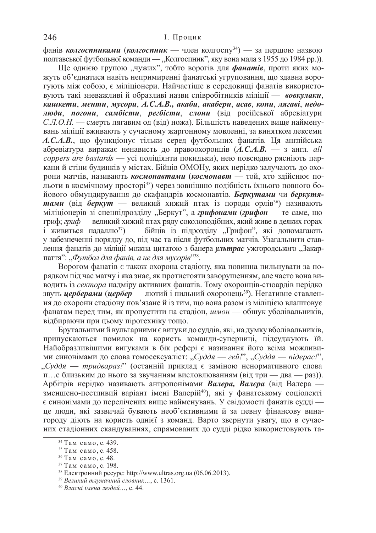фанів колгоспниками (колгоспник — член колгоспу<sup>34</sup>) — за першою назвою полтавської футбольної команди — "Колгоспник", яку вона мала з 1955 до 1984 рр.)).

Ще однією групою "чужих", тобто ворогів для **фанатів**, проти яких можуть об'єднатися навіть непримиренні фанатські угруповання, що здавна ворогують між собою, є міліціонери. Найчастіше в середовищі фанатів використовують такі зневажливі й образливі назви співробітників міліції — **вовкулаки**, *ɤɚɲɤɟɬɢ*, *ɦɽɧɬɢ*, *ɦɭɫɨɪɢ*, *Ⱥ.ɋ.Ⱥ.ȼ., ɚɤɚɛɢ*, *ɚɤɚɛɟɪɢ*, *ɚɫɚɜ*, *ɤɨɩɢ*, *ɥɹɝɚɜɿ*, *ɧɟɞɨлюди*, *погони*, *самбісти*, *регбісти*, *слони* (від російської абревіатури С.Л.О.Н. — смерть лягавим од (від) ножа). Більшість наведених вище найменувань міліції вживають у сучасному жаргонному мовленні, за винятком лексеми  $A$ . *С.А.В.*, що функціонує тільки серед футбольних фанатів. Ця англійська абревіатура виражає ненависть до правоохоронців (А.С.А.В. — з англ. *all coppers are bastards* — усі поліціянти покидьки), нею повсюдно рясніють паркани й стіни будинків у містах. Бійців ОМОНу, яких нерідко залучають до охорони матчів, називають космонавтами (космонавт - той, хто здійснює польоти в космічному просторі<sup>35</sup>) через зовнішню подібність їхнього повного бойового обмундирування до скафандрів космонавтів. Беркутами чи беркутятами (від беркут — великий хижий птах із породи орлів<sup>36</sup>) називають міліціонерів зі спецпідрозділу "Беркут", а *грифонами (грифон* — те саме, що гриф; *гриф* — великий хижий птах ряду соколоподібних, який живе в деяких горах і живиться падаллю<sup>37</sup>) — бійців із підрозділу "Грифон", які допомагають у забезпеченні порядку до, під час та після футбольних матчів. Узагальнити ставлення фанатів до міліції можна цитатою з банера *ультрас* ужгородського "Закарпаття": "Футбол для фанів, а не для мусорів" $^{338}.$ 

Ворогом фанатів є також охорона стадіону, яка повинна пильнувати за порядком під час матчу і яка знає, як протистояти заворушенням, але часто вона виводить із сектора надміру активних фанатів. Тому охоронців-стюардів нерідко звуть **церберами** (**цербер** — лютий і пильний охоронець<sup>39</sup>). Негативне ставлення до охорони стадіону пов'язане й із тим, що вона разом із міліцією влаштовує фанатам перед тим, як пропустити на стадіон, *шмон* — обшук уболівальників, відбираючи при цьому піротехніку тощо.

Брутальними й вульгарними є вигуки до суддів, які, на думку вболівальників, припускаються помилок на користь команди-суперниці, підсуджують їй. Найобразливішими вигуками в бік рефері є називання його всіма можливими синонімами до слова гомосексуаліст: "Суддя — гей!", "Суддя — підерас!", "Суддя — тридвараз!" (останній приклад є заміною ненормативного слова п... с близьким до нього за звучанням висловлюванням (від три — два — раз)). Арбітрів нерідко називають антропонімами Валера, Валера (від Валера зменшено-пестливий варіант імені Валерій<sup>40</sup>), які у фанатському соціолекті є синонімами до перелічених вище найменувань. У свідомості фанатів судді це люди, які зазвичай бувають необ'єктивними й за певну фінансову винагороду діють на користь однієї з команд. Варто звернути увагу, що в сучасних стадіонних скандуваннях, спрямованих до судді рідко використовують та-

<sup>&</sup>lt;sup>34</sup> Там само, с. 439.

<sup>&</sup>lt;sup>35</sup> Там само, с. 458.

<sup>&</sup>lt;sup>36</sup> Там само, с. 48.

<sup>&</sup>lt;sup>37</sup> Там само, с. 198.

<sup>&</sup>lt;sup>38</sup> Електронний ресурс: http://www.ultras.org.ua (06.06.2013).

<sup>&</sup>lt;sup>39</sup> Великий тлумачний словник..., с. 1361.

<sup>40</sup> *ȼɥɚɫɧɿ ɿɦɟɧɚ ɥɸɞɟɣ…*, ɫ. 44.